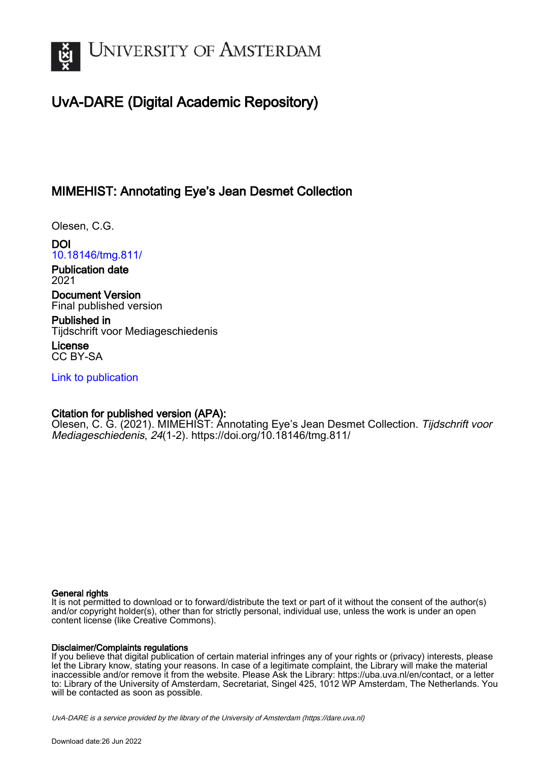

# UvA-DARE (Digital Academic Repository)

## MIMEHIST: Annotating Eye's Jean Desmet Collection

Olesen, C.G.

DOI [10.18146/tmg.811/](https://doi.org/10.18146/tmg.811/)

Publication date 2021

Document Version Final published version

Published in Tijdschrift voor Mediageschiedenis

License CC BY-SA

[Link to publication](https://dare.uva.nl/personal/pure/en/publications/mimehist-annotating-eyes-jean-desmet-collection(4d807702-cf62-4af5-96bc-4a7be1b67115).html)

#### Citation for published version (APA):

Olesen, C. G. (2021). MIMEHIST: Annotating Eye's Jean Desmet Collection. Tijdschrift voor Mediageschiedenis, 24(1-2). <https://doi.org/10.18146/tmg.811/>

#### General rights

It is not permitted to download or to forward/distribute the text or part of it without the consent of the author(s) and/or copyright holder(s), other than for strictly personal, individual use, unless the work is under an open content license (like Creative Commons).

#### Disclaimer/Complaints regulations

If you believe that digital publication of certain material infringes any of your rights or (privacy) interests, please let the Library know, stating your reasons. In case of a legitimate complaint, the Library will make the material inaccessible and/or remove it from the website. Please Ask the Library: https://uba.uva.nl/en/contact, or a letter to: Library of the University of Amsterdam, Secretariat, Singel 425, 1012 WP Amsterdam, The Netherlands. You will be contacted as soon as possible.

UvA-DARE is a service provided by the library of the University of Amsterdam (http*s*://dare.uva.nl)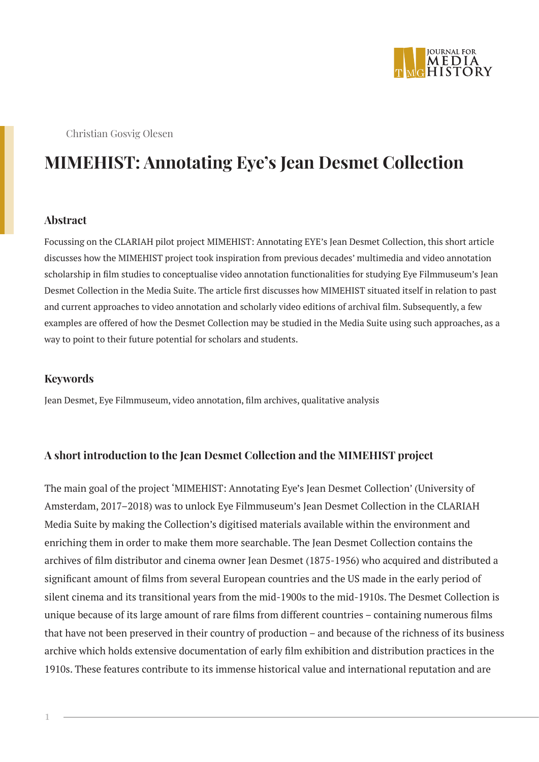

Christian Gosvig Olesen

# **MIMEHIST: Annotating Eye's Jean Desmet Collection**

#### **Abstract**

Focussing on the CLARIAH pilot project MIMEHIST: Annotating EYE's Jean Desmet Collection, this short article discusses how the MIMEHIST project took inspiration from previous decades' multimedia and video annotation scholarship in film studies to conceptualise video annotation functionalities for studying Eye Filmmuseum's Jean Desmet Collection in the Media Suite. The article first discusses how MIMEHIST situated itself in relation to past and current approaches to video annotation and scholarly video editions of archival film. Subsequently, a few examples are offered of how the Desmet Collection may be studied in the Media Suite using such approaches, as a way to point to their future potential for scholars and students.

#### **Keywords**

Jean Desmet, Eye Filmmuseum, video annotation, film archives, qualitative analysis

#### **A short introduction to the Jean Desmet Collection and the MIMEHIST project**

The main goal of the project 'MIMEHIST: Annotating Eye's Jean Desmet Collection' (University of Amsterdam, 2017–2018) was to unlock Eye Filmmuseum's Jean Desmet Collection in the CLARIAH Media Suite by making the Collection's digitised materials available within the environment and enriching them in order to make them more searchable. The Jean Desmet Collection contains the archives of film distributor and cinema owner Jean Desmet (1875-1956) who acquired and distributed a significant amount of films from several European countries and the US made in the early period of silent cinema and its transitional years from the mid-1900s to the mid-1910s. The Desmet Collection is unique because of its large amount of rare films from different countries – containing numerous films that have not been preserved in their country of production – and because of the richness of its business archive which holds extensive documentation of early film exhibition and distribution practices in the 1910s. These features contribute to its immense historical value and international reputation and are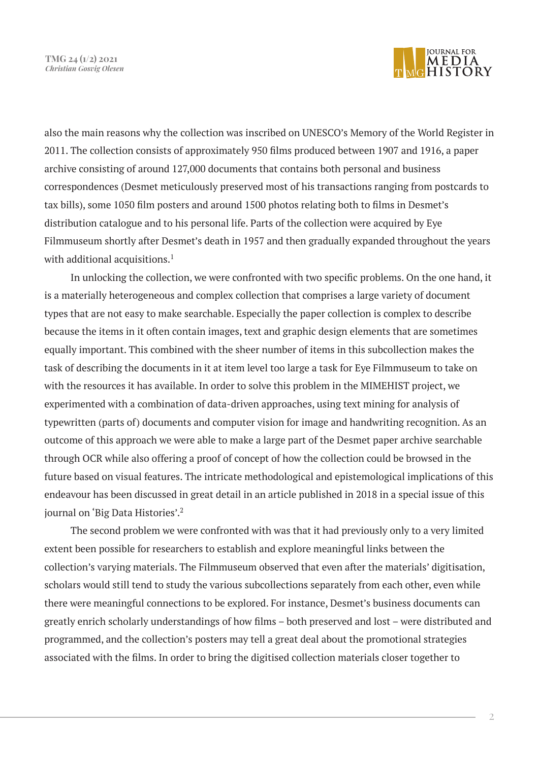**TMG 24 (1/2) 2021** *Christian Gosvig Olesen*



also the main reasons why the collection was inscribed on UNESCO's Memory of the World Register in 2011. The collection consists of approximately 950 films produced between 1907 and 1916, a paper archive consisting of around 127,000 documents that contains both personal and business correspondences (Desmet meticulously preserved most of his transactions ranging from postcards to tax bills), some 1050 film posters and around 1500 photos relating both to films in Desmet's distribution catalogue and to his personal life. Parts of the collection were acquired by Eye Filmmuseum shortly after Desmet's death in 1957 and then gradually expanded throughout the years with additional acquisitions.<sup>1</sup>

In unlocking the collection, we were confronted with two specific problems. On the one hand, it is a materially heterogeneous and complex collection that comprises a large variety of document types that are not easy to make searchable. Especially the paper collection is complex to describe because the items in it often contain images, text and graphic design elements that are sometimes equally important. This combined with the sheer number of items in this subcollection makes the task of describing the documents in it at item level too large a task for Eye Filmmuseum to take on with the resources it has available. In order to solve this problem in the MIMEHIST project, we experimented with a combination of data-driven approaches, using text mining for analysis of typewritten (parts of) documents and computer vision for image and handwriting recognition. As an outcome of this approach we were able to make a large part of the Desmet paper archive searchable through OCR while also offering a proof of concept of how the collection could be browsed in the future based on visual features. The intricate methodological and epistemological implications of this endeavour has been discussed in great detail in an article published in 2018 in a special issue of this journal on 'Big Data Histories'.2

The second problem we were confronted with was that it had previously only to a very limited extent been possible for researchers to establish and explore meaningful links between the collection's varying materials. The Filmmuseum observed that even after the materials' digitisation, scholars would still tend to study the various subcollections separately from each other, even while there were meaningful connections to be explored. For instance, Desmet's business documents can greatly enrich scholarly understandings of how films – both preserved and lost – were distributed and programmed, and the collection's posters may tell a great deal about the promotional strategies associated with the films. In order to bring the digitised collection materials closer together to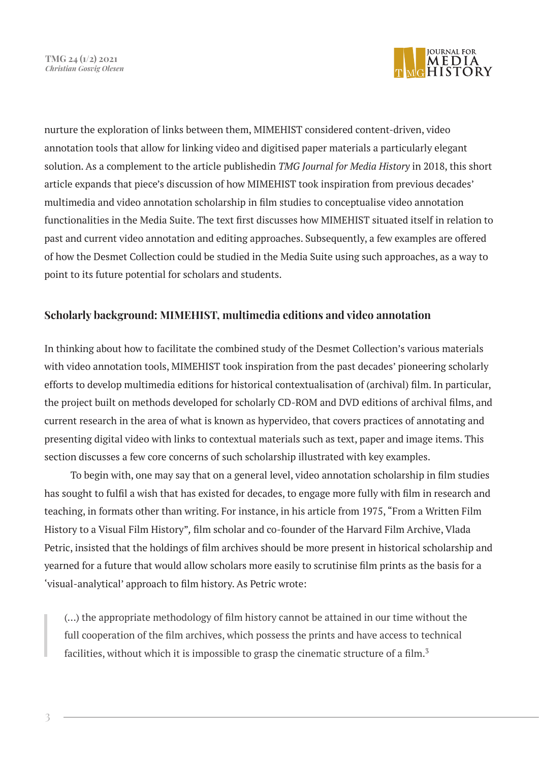

nurture the exploration of links between them, MIMEHIST considered content-driven, video annotation tools that allow for linking video and digitised paper materials a particularly elegant solution. As a complement to the article publishedin *TMG Journal for Media History* in 2018, this short article expands that piece's discussion of how MIMEHIST took inspiration from previous decades' multimedia and video annotation scholarship in film studies to conceptualise video annotation functionalities in the Media Suite. The text first discusses how MIMEHIST situated itself in relation to past and current video annotation and editing approaches. Subsequently, a few examples are offered of how the Desmet Collection could be studied in the Media Suite using such approaches, as a way to point to its future potential for scholars and students.

### **Scholarly background: MIMEHIST, multimedia editions and video annotation**

In thinking about how to facilitate the combined study of the Desmet Collection's various materials with video annotation tools, MIMEHIST took inspiration from the past decades' pioneering scholarly efforts to develop multimedia editions for historical contextualisation of (archival) film. In particular, the project built on methods developed for scholarly CD-ROM and DVD editions of archival films, and current research in the area of what is known as hypervideo, that covers practices of annotating and presenting digital video with links to contextual materials such as text, paper and image items. This section discusses a few core concerns of such scholarship illustrated with key examples.

To begin with, one may say that on a general level, video annotation scholarship in film studies has sought to fulfil a wish that has existed for decades, to engage more fully with film in research and teaching, in formats other than writing. For instance, in his article from 1975, "From a Written Film History to a Visual Film History"*,* film scholar and co-founder of the Harvard Film Archive, Vlada Petric, insisted that the holdings of film archives should be more present in historical scholarship and yearned for a future that would allow scholars more easily to scrutinise film prints as the basis for a 'visual-analytical' approach to film history. As Petric wrote:

(…) the appropriate methodology of film history cannot be attained in our time without the full cooperation of the film archives, which possess the prints and have access to technical facilities, without which it is impossible to grasp the cinematic structure of a film.<sup>3</sup>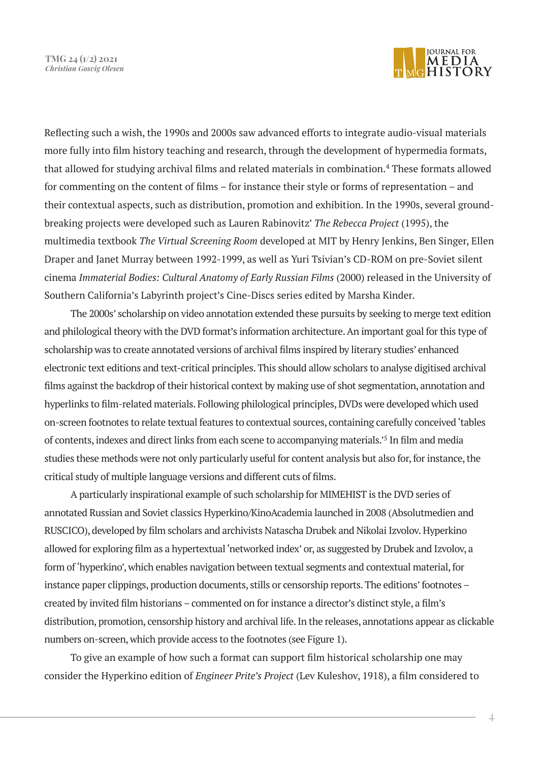

Reflecting such a wish, the 1990s and 2000s saw advanced efforts to integrate audio-visual materials more fully into film history teaching and research, through the development of hypermedia formats, that allowed for studying archival films and related materials in combination.<sup>4</sup> These formats allowed for commenting on the content of films – for instance their style or forms of representation – and their contextual aspects, such as distribution, promotion and exhibition. In the 1990s, several groundbreaking projects were developed such as Lauren Rabinovitz' *The Rebecca Project* (1995), the multimedia textbook *The Virtual Screening Room* developed at MIT by Henry Jenkins, Ben Singer, Ellen Draper and Janet Murray between 1992-1999, as well as Yuri Tsivian's CD-ROM on pre-Soviet silent cinema *Immaterial Bodies: Cultural Anatomy of Early Russian Films* (2000) released in the University of Southern California's Labyrinth project's Cine-Discs series edited by Marsha Kinder.

The 2000s' scholarship on video annotation extended these pursuits by seeking to merge text edition and philological theory with the DVD format's information architecture. An important goal for this type of scholarship was to create annotated versions of archival films inspired by literary studies' enhanced electronic text editions and text-critical principles. This should allow scholars to analyse digitised archival films against the backdrop of their historical context by making use of shot segmentation, annotation and hyperlinks to film-related materials. Following philological principles, DVDs were developed which used on-screen footnotes to relate textual features to contextual sources, containing carefully conceived 'tables of contents, indexes and direct links from each scene to accompanying materials.'5 In film and media studies these methods were not only particularly useful for content analysis but also for, for instance, the critical study of multiple language versions and different cuts of films.

A particularly inspirational example of such scholarship for MIMEHIST is the DVD series of annotated Russian and Soviet classics Hyperkino/KinoAcademia launched in 2008 (Absolutmedien and RUSCICO), developed by film scholars and archivists Natascha Drubek and Nikolai Izvolov. Hyperkino allowed for exploring film as a hypertextual 'networked index' or, as suggested by Drubek and Izvolov, a form of 'hyperkino', which enables navigation between textual segments and contextual material, for instance paper clippings, production documents, stills or censorship reports. The editions' footnotes – created by invited film historians – commented on for instance a director's distinct style, a film's distribution, promotion, censorship history and archival life. In the releases, annotations appear as clickable numbers on-screen, which provide access to the footnotes (see Figure 1).

To give an example of how such a format can support film historical scholarship one may consider the Hyperkino edition of *Engineer Prite's Project* (Lev Kuleshov, 1918), a film considered to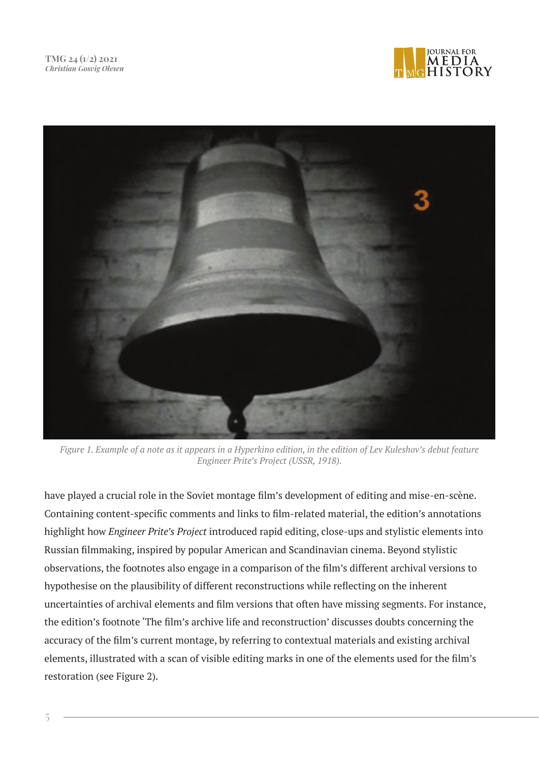



*Figure 1. Example of a note as it appears in a Hyperkino edition, in the edition of Lev Kuleshov's debut feature Engineer Prite's Project (USSR, 1918).*

have played a crucial role in the Soviet montage film's development of editing and mise-en-scène. Containing content-specific comments and links to film-related material, the edition's annotations highlight how *Engineer Prite's Project* introduced rapid editing, close-ups and stylistic elements into Russian filmmaking, inspired by popular American and Scandinavian cinema. Beyond stylistic observations, the footnotes also engage in a comparison of the film's different archival versions to hypothesise on the plausibility of different reconstructions while reflecting on the inherent uncertainties of archival elements and film versions that often have missing segments. For instance, the edition's footnote 'The film's archive life and reconstruction' discusses doubts concerning the accuracy of the film's current montage, by referring to contextual materials and existing archival elements, illustrated with a scan of visible editing marks in one of the elements used for the film's restoration (see Figure 2).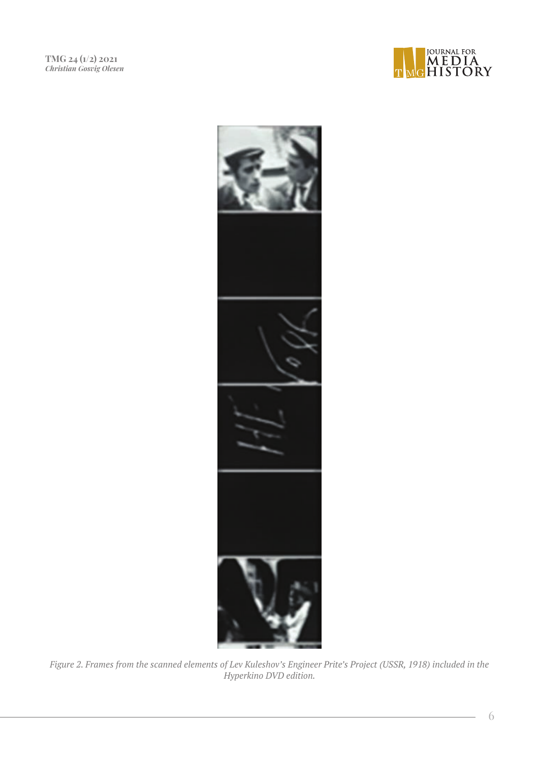



*Figure 2. Frames from the scanned elements of Lev Kuleshov's Engineer Prite's Project (USSR, 1918) included in the Hyperkino DVD edition.*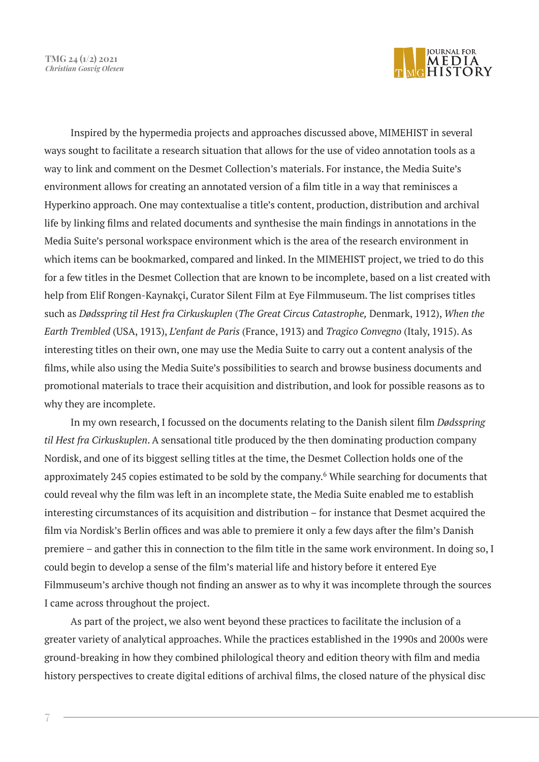**TMG 24 (1/2) 2021** *Christian Gosvig Olesen*



Inspired by the hypermedia projects and approaches discussed above, MIMEHIST in several ways sought to facilitate a research situation that allows for the use of video annotation tools as a way to link and comment on the Desmet Collection's materials. For instance, the Media Suite's environment allows for creating an annotated version of a film title in a way that reminisces a Hyperkino approach. One may contextualise a title's content, production, distribution and archival life by linking films and related documents and synthesise the main findings in annotations in the Media Suite's personal workspace environment which is the area of the research environment in which items can be bookmarked, compared and linked. In the MIMEHIST project, we tried to do this for a few titles in the Desmet Collection that are known to be incomplete, based on a list created with help from Elif Rongen-Kaynakçi, Curator Silent Film at Eye Filmmuseum. The list comprises titles such as *Dødsspring til Hest fra Cirkuskuplen* (*The Great Circus Catastrophe,* Denmark, 1912), *When the Earth Trembled* (USA, 1913), *L'enfant de Paris* (France, 1913) and *Tragico Convegno* (Italy, 1915). As interesting titles on their own, one may use the Media Suite to carry out a content analysis of the films, while also using the Media Suite's possibilities to search and browse business documents and promotional materials to trace their acquisition and distribution, and look for possible reasons as to why they are incomplete.

In my own research, I focussed on the documents relating to the Danish silent film *Dødsspring til Hest fra Cirkuskuplen*. A sensational title produced by the then dominating production company Nordisk, and one of its biggest selling titles at the time, the Desmet Collection holds one of the approximately 245 copies estimated to be sold by the company.<sup>6</sup> While searching for documents that could reveal why the film was left in an incomplete state, the Media Suite enabled me to establish interesting circumstances of its acquisition and distribution – for instance that Desmet acquired the film via Nordisk's Berlin offices and was able to premiere it only a few days after the film's Danish premiere – and gather this in connection to the film title in the same work environment. In doing so, I could begin to develop a sense of the film's material life and history before it entered Eye Filmmuseum's archive though not finding an answer as to why it was incomplete through the sources I came across throughout the project.

As part of the project, we also went beyond these practices to facilitate the inclusion of a greater variety of analytical approaches. While the practices established in the 1990s and 2000s were ground-breaking in how they combined philological theory and edition theory with film and media history perspectives to create digital editions of archival films, the closed nature of the physical disc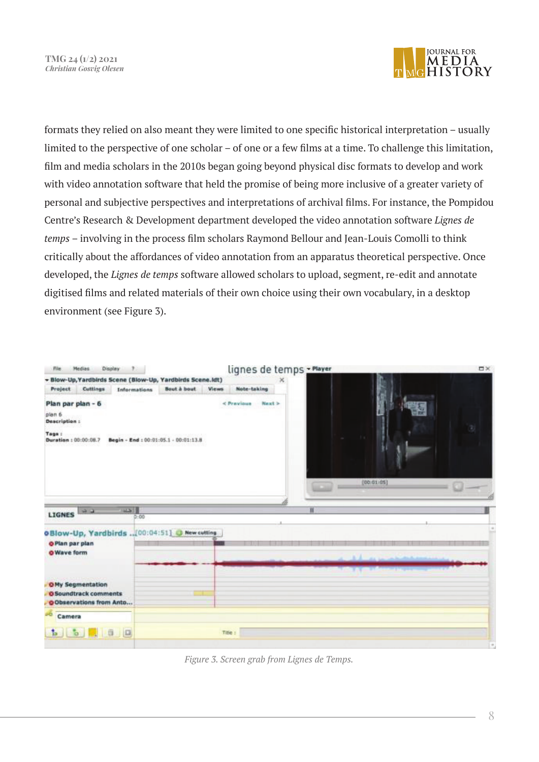

formats they relied on also meant they were limited to one specific historical interpretation – usually limited to the perspective of one scholar – of one or a few films at a time. To challenge this limitation, film and media scholars in the 2010s began going beyond physical disc formats to develop and work with video annotation software that held the promise of being more inclusive of a greater variety of personal and subjective perspectives and interpretations of archival films. For instance, the Pompidou Centre's Research & Development department developed the video annotation software *Lignes de temps* – involving in the process film scholars Raymond Bellour and Jean-Louis Comolli to think critically about the affordances of video annotation from an apparatus theoretical perspective. Once developed, the *Lignes de temps* software allowed scholars to upload, segment, re-edit and annotate digitised films and related materials of their own choice using their own vocabulary, in a desktop environment (see Figure 3).



*Figure 3. Screen grab from Lignes de Temps.*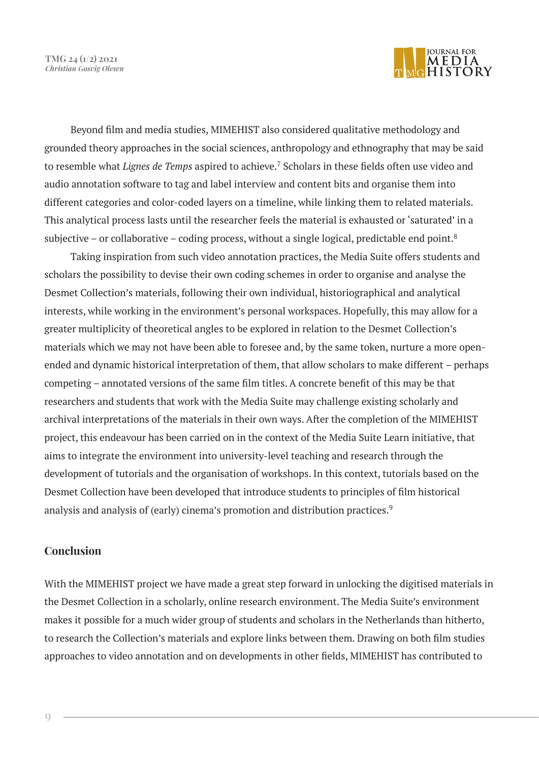**TMG 24 (1/2) 2021** *Christian Gosvig Olesen*



Beyond film and media studies, MIMEHIST also considered qualitative methodology and grounded theory approaches in the social sciences, anthropology and ethnography that may be said to resemble what *Lignes de Temps* aspired to achieve.7 Scholars in these fields often use video and audio annotation software to tag and label interview and content bits and organise them into different categories and color-coded layers on a timeline, while linking them to related materials. This analytical process lasts until the researcher feels the material is exhausted or 'saturated' in a subjective – or collaborative – coding process, without a single logical, predictable end point.<sup>8</sup>

Taking inspiration from such video annotation practices, the Media Suite offers students and scholars the possibility to devise their own coding schemes in order to organise and analyse the Desmet Collection's materials, following their own individual, historiographical and analytical interests, while working in the environment's personal workspaces. Hopefully, this may allow for a greater multiplicity of theoretical angles to be explored in relation to the Desmet Collection's materials which we may not have been able to foresee and, by the same token, nurture a more openended and dynamic historical interpretation of them, that allow scholars to make different – perhaps competing – annotated versions of the same film titles. A concrete benefit of this may be that researchers and students that work with the Media Suite may challenge existing scholarly and archival interpretations of the materials in their own ways. After the completion of the MIMEHIST project, this endeavour has been carried on in the context of the Media Suite Learn initiative, that aims to integrate the environment into university-level teaching and research through the development of tutorials and the organisation of workshops. In this context, tutorials based on the Desmet Collection have been developed that introduce students to principles of film historical analysis and analysis of (early) cinema's promotion and distribution practices.<sup>9</sup>

### **Conclusion**

With the MIMEHIST project we have made a great step forward in unlocking the digitised materials in the Desmet Collection in a scholarly, online research environment. The Media Suite's environment makes it possible for a much wider group of students and scholars in the Netherlands than hitherto, to research the Collection's materials and explore links between them. Drawing on both film studies approaches to video annotation and on developments in other fields, MIMEHIST has contributed to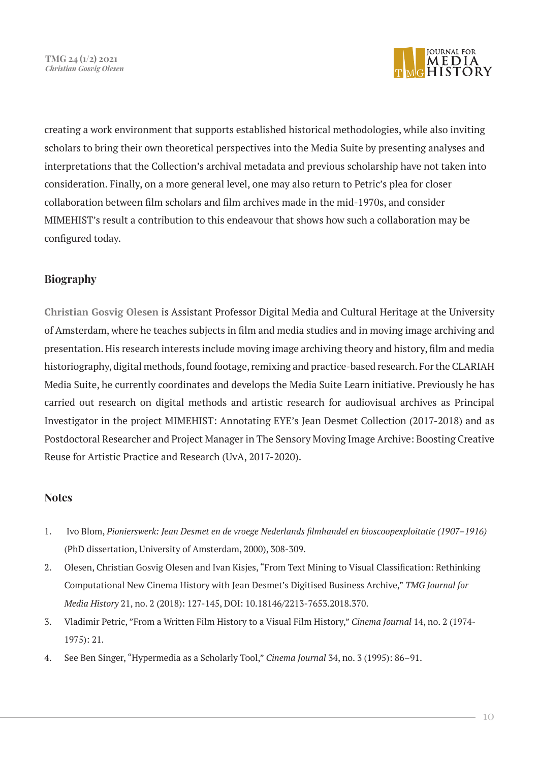

creating a work environment that supports established historical methodologies, while also inviting scholars to bring their own theoretical perspectives into the Media Suite by presenting analyses and interpretations that the Collection's archival metadata and previous scholarship have not taken into consideration. Finally, on a more general level, one may also return to Petric's plea for closer collaboration between film scholars and film archives made in the mid-1970s, and consider MIMEHIST's result a contribution to this endeavour that shows how such a collaboration may be configured today.

## **Biography**

**Christian Gosvig Olesen** is Assistant Professor Digital Media and Cultural Heritage at the University of Amsterdam, where he teaches subjects in film and media studies and in moving image archiving and presentation. His research interests include moving image archiving theory and history, film and media historiography, digital methods, found footage, remixing and practice-based research. For the CLARIAH Media Suite, he currently coordinates and develops the Media Suite Learn initiative. Previously he has carried out research on digital methods and artistic research for audiovisual archives as Principal Investigator in the project MIMEHIST: Annotating EYE's Jean Desmet Collection (2017-2018) and as Postdoctoral Researcher and Project Manager in The Sensory Moving Image Archive: Boosting Creative Reuse for Artistic Practice and Research (UvA, 2017-2020).

#### **Notes**

- 1. Ivo Blom, *Pionierswerk: Jean Desmet en de vroege Nederlands filmhandel en bioscoopexploitatie (1907–1916)*  (PhD dissertation, University of Amsterdam, 2000), 308-309.
- 2. Olesen, Christian Gosvig Olesen and Ivan Kisjes, "From Text Mining to Visual Classification: Rethinking Computational New Cinema History with Jean Desmet's Digitised Business Archive," *TMG Journal for Media History* 21, no. 2 (2018): 127-145, DOI: 10.18146/2213-7653.2018.370.
- 3. Vladimir Petric, "From a Written Film History to a Visual Film History," *Cinema Journal* 14, no. 2 (1974- 1975): 21.
- 4. See Ben Singer, "Hypermedia as a Scholarly Tool," *Cinema Journal* 34, no. 3 (1995): 86–91.